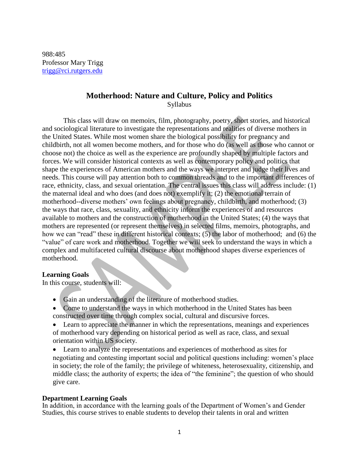988:485 Professor Mary Trigg [trigg@rci.rutgers.edu](mailto:trigg@rci.rutgers.edu) 

# **Motherhood: Nature and Culture, Policy and Politics**

Syllabus

This class will draw on memoirs, film, photography, poetry, short stories, and historical and sociological literature to investigate the representations and realities of diverse mothers in the United States. While most women share the biological possibility for pregnancy and childbirth, not all women become mothers, and for those who do (as well as those who cannot or choose not) the choice as well as the experience are profoundly shaped by multiple factors and forces. We will consider historical contexts as well as contemporary policy and politics that shape the experiences of American mothers and the ways we interpret and judge their lives and needs. This course will pay attention both to common threads and to the important differences of race, ethnicity, class, and sexual orientation. The central issues this class will address include: (1) the maternal ideal and who does (and does not) exemplify it; (2) the emotional terrain of motherhood--diverse mothers' own feelings about pregnancy, childbirth, and motherhood; (3) the ways that race, class, sexuality, and ethnicity inform the experiences of and resources available to mothers and the construction of motherhood in the United States; (4) the ways that mothers are represented (or represent themselves) in selected films, memoirs, photographs, and how we can "read" these in different historical contexts; (5) the labor of motherhood; and (6) the "value" of care work and motherhood. Together we will seek to understand the ways in which a complex and multifaceted cultural discourse about motherhood shapes diverse experiences of motherhood.

# **Learning Goals**

In this course, students will:

- Gain an understanding of the literature of motherhood studies.
- Come to understand the ways in which motherhood in the United States has been constructed over time through complex social, cultural and discursive forces.
- Learn to appreciate the manner in which the representations, meanings and experiences of motherhood vary depending on historical period as well as race, class, and sexual orientation within US society.
- Learn to analyze the representations and experiences of motherhood as sites for negotiating and contesting important social and political questions including: women's place in society; the role of the family; the privilege of whiteness, heterosexuality, citizenship, and middle class; the authority of experts; the idea of "the feminine"; the question of who should give care.

# **Department Learning Goals**

In addition, in accordance with the learning goals of the Department of Women's and Gender Studies, this course strives to enable students to develop their talents in oral and written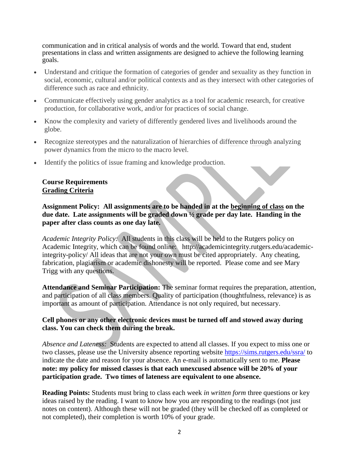communication and in critical analysis of words and the world. Toward that end, student presentations in class and written assignments are designed to achieve the following learning goals.

- Understand and critique the formation of categories of gender and sexuality as they function in social, economic, cultural and/or political contexts and as they intersect with other categories of difference such as race and ethnicity.
- Communicate effectively using gender analytics as a tool for academic research, for creative production, for collaborative work, and/or for practices of social change.
- Know the complexity and variety of differently gendered lives and livelihoods around the globe.
- Recognize stereotypes and the naturalization of hierarchies of difference through analyzing power dynamics from the micro to the macro level.
- Identify the politics of issue framing and knowledge production.

# **Course Requirements Grading Criteria**

**Assignment Policy: All assignments are to be handed in at the beginning of class on the due date. Late assignments will be graded down ½ grade per day late. Handing in the paper after class counts as one day late.** 

*Academic Integrity Policy:* All students in this class will be held to the Rutgers policy on Academic Integrity, which can be found online: http://academicintegrity.rutgers.edu/academicintegrity-policy/ All ideas that are not your own must be cited appropriately. Any cheating, fabrication, plagiarism or academic dishonesty will be reported. Please come and see Mary Trigg with any questions.

**Attendance and Seminar Participation:** The seminar format requires the preparation, attention, and participation of all class members. Quality of participation (thoughtfulness, relevance) is as important as amount of participation. Attendance is not only required, but necessary.

# **Cell phones or any other electronic devices must be turned off and stowed away during class. You can check them during the break.**

*Absence and Lateness:* Students are expected to attend all classes. If you expect to miss one or two classes, please use the University absence reporting website<https://sims.rutgers.edu/ssra/> to indicate the date and reason for your absence. An e-mail is automatically sent to me. **Please note: my policy for missed classes is that each unexcused absence will be 20% of your participation grade. Two times of lateness are equivalent to one absence.** 

**Reading Points:** Students must bring to class each week *in written form* three questions or key ideas raised by the reading. I want to know how you are responding to the readings (not just notes on content). Although these will not be graded (they will be checked off as completed or not completed), their completion is worth 10% of your grade.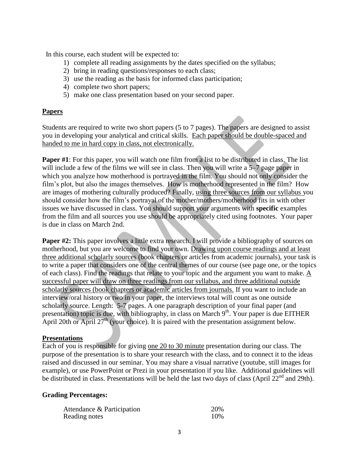In this course, each student will be expected to:

- 1) complete all reading assignments by the dates specified on the syllabus;
- 2) bring in reading questions/responses to each class;
- 3) use the reading as the basis for informed class participation;
- 4) complete two short papers;
- 5) make one class presentation based on your second paper.

# **Papers**

Students are required to write two short papers (5 to 7 pages). The papers are designed to assist you in developing your analytical and critical skills. Each paper should be double-spaced and handed to me in hard copy in class, not electronically.

**Paper #1**: For this paper, you will watch one film from a list to be distributed in class. The list will include a few of the films we will see in class. Then you will write a 5–7 page paper in which you analyze how motherhood is portrayed in the film. You should not only consider the film's plot, but also the images themselves. How is motherhood represented in the film? How are images of mothering culturally produced? Finally, using three sources from our syllabus you should consider how the film's portrayal of the mother/mothers/motherhood fits in with other issues we have discussed in class. You should support your arguments with **specific** examples from the film and all sources you use should be appropriately cited using footnotes. Your paper is due in class on March 2nd.

**Paper #2:** This paper involves a little extra research. I will provide a bibliography of sources on motherhood, but you are welcome to find your own. Drawing upon course readings and at least three additional scholarly sources (book chapters or articles from academic journals), your task is to write a paper that considers one of the central themes of our course (see page one, or the topics of each class). Find the readings that relate to your topic and the argument you want to make. A successful paper will draw on three readings from our syllabus, and three additional outside scholarly sources (book chapters or academic articles from journals. If you want to include an interview/oral history or two in your paper, the interviews total will count as one outside scholarly source. Length: 5-7 pages. A one paragraph description of your final paper (and presentation) topic is due, with bibliography, in class on March 9<sup>th</sup>. Your paper is due EITHER April 20th or April  $27<sup>th</sup>$  (your choice). It is paired with the presentation assignment below.

# **Presentations**

Each of you is responsible for giving one 20 to 30 minute presentation during our class. The purpose of the presentation is to share your research with the class, and to connect it to the ideas raised and discussed in our seminar. You may share a visual narrative (youtube, still images for example), or use PowerPoint or Prezi in your presentation if you like. Additional guidelines will be distributed in class. Presentations will be held the last two days of class (April  $22<sup>nd</sup>$  and 29th).

# **Grading Percentages:**

| Attendance & Participation | 20% |
|----------------------------|-----|
| Reading notes              | 10% |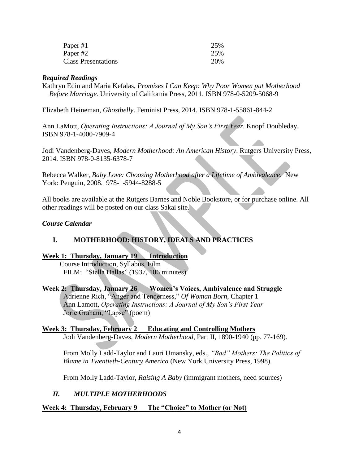| Paper #1                   | 25% |
|----------------------------|-----|
| Paper #2                   | 25% |
| <b>Class Presentations</b> | 20% |

### *Required Readings*

Kathryn Edin and Maria Kefalas, *Promises I Can Keep: Why Poor Women put Motherhood Before Marriage.* University of California Press, 2011. ISBN 978-0-5209-5068-9

Elizabeth Heineman, *Ghostbelly*. Feminist Press, 2014. ISBN 978-1-55861-844-2

Ann LaMott, *Operating Instructions: A Journal of My Son's First Year*. Knopf Doubleday. ISBN 978-1-4000-7909-4

Jodi Vandenberg-Daves, *Modern Motherhood: An American History*. Rutgers University Press, 2014. ISBN 978-0-8135-6378-7

Rebecca Walker, *Baby Love: Choosing Motherhood after a Lifetime of Ambivalence*. New York: Penguin, 2008. 978-1-5944-8288-5

All books are available at the Rutgers Barnes and Noble Bookstore, or for purchase online. All other readings will be posted on our class Sakai site.

# *Course Calendar*

# **I. MOTHERHOOD: HISTORY, IDEALS AND PRACTICES**

# **Week 1: Thursday, January 19 Introduction**

 Course Introduction, Syllabus, Film FILM: "Stella Dallas" (1937, 106 minutes)

#### **Week 2: Thursday, January 26 Women's Voices, Ambivalence and Struggle**

Adrienne Rich, "Anger and Tenderness," *Of Woman Born*, Chapter 1 Ann Lamott, *Operating Instructions: A Journal of My Son's First Year* Jorie Graham, "Lapse" (poem)

#### **Week 3: Thursday, February 2 Educating and Controlling Mothers**

Jodi Vandenberg-Daves, *Modern Motherhood*, Part II, 1890-1940 (pp. 77-169).

From Molly Ladd-Taylor and Lauri Umansky, eds., *"Bad" Mothers: The Politics of Blame in Twentieth-Century America* (New York University Press, 1998).

From Molly Ladd-Taylor, *Raising A Baby* (immigrant mothers, need sources)

# *II. MULTIPLE MOTHERHOODS*

#### **Week 4: Thursday, February 9 The "Choice" to Mother (or Not)**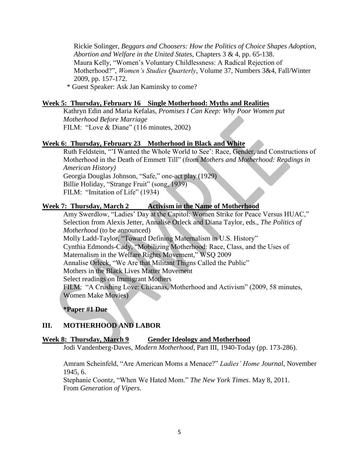Rickie Solinger, *Beggars and Choosers: How the Politics of Choice Shapes Adoption, Abortion and Welfare in the United States*, Chapters 3 & 4, pp. 65-138. Maura Kelly, "Women's Voluntary Childlessness: A Radical Rejection of Motherhood?", *Women's Studies Quarterly*, Volume 37, Numbers 3&4, Fall/Winter 2009, pp. 157-172.

\* Guest Speaker: Ask Jan Kaminsky to come?

# **Week 5: Thursday, February 16 Single Motherhood: Myths and Realities**

Kathryn Edin and Maria Kefalas, *Promises I Can Keep: Why Poor Women put Motherhood Before Marriage* FILM: "Love & Diane" (116 minutes, 2002)

# **Week 6: Thursday, February 23 Motherhood in Black and White**

Ruth Feldstein, "'I Wanted the Whole World to See': Race, Gender, and Constructions of Motherhood in the Death of Emmett Till" (from *Mothers and Motherhood: Readings in American History)* Georgia Douglas Johnson, "Safe," one-act play (1929) Billie Holiday, "Strange Fruit" (song, 1939) FILM: "Imitation of Life" (1934)

# **Week 7: Thursday, March 2 Activism in the Name of Motherhood**

Amy Swerdlow, "Ladies' Day at the Capitol: Women Strike for Peace Versus HUAC," Selection from Alexis Jetter, Annalise Orleck and Diana Taylor, eds., *The Politics of Motherhood* (to be announced) Molly Ladd-Taylor, "Toward Defining Maternalism in U.S. History" Cynthia Edmonds-Cady, "Mobilizing Motherhood: Race, Class, and the Uses of Maternalism in the Welfare Rights Movement," WSQ 2009 Annalise Orleck, "We Are that Militant Thigns Called the Public" Mothers in the Black Lives Matter Movement Select readings on Immigrant Mothers FILM: "A Crushing Love: Chicanas, Motherhood and Activism" (2009, 58 minutes, Women Make Movies)

**\*Paper #1 Due**

# **III. MOTHERHOOD AND LABOR**

# **Week 8: Thursday, March 9 Gender Ideology and Motherhood**

Jodi Vandenberg-Daves, *Modern Motherhood*, Part III, 1940-Today (pp. 173-286).

Amram Scheinfeld, "Are American Moms a Menace?" *Ladies' Home Journal*, November 1945, 6.

Stephanie Coontz, "When We Hated Mom." *The New York Times*. May 8, 2011. From *Generation of Vipers*.